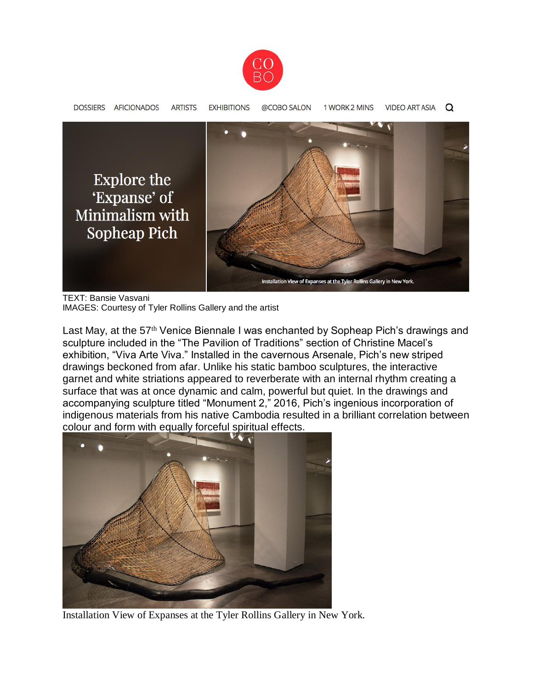



TEXT: Bansie Vasvani IMAGES: Courtesy of Tyler Rollins Gallery and the artist

Last May, at the 57<sup>th</sup> Venice Biennale I was enchanted by Sopheap Pich's drawings and sculpture included in the "The Pavilion of Traditions" section of Christine Macel's exhibition, "Viva Arte Viva." Installed in the cavernous Arsenale, Pich's new striped drawings beckoned from afar. Unlike his static bamboo sculptures, the interactive garnet and white striations appeared to reverberate with an internal rhythm creating a surface that was at once dynamic and calm, powerful but quiet. In the drawings and accompanying sculpture titled "Monument 2," 2016, Pich's ingenious incorporation of indigenous materials from his native Cambodia resulted in a brilliant correlation between colour and form with equally forceful spiritual effects.



Installation View of Expanses at the Tyler Rollins Gallery in New York.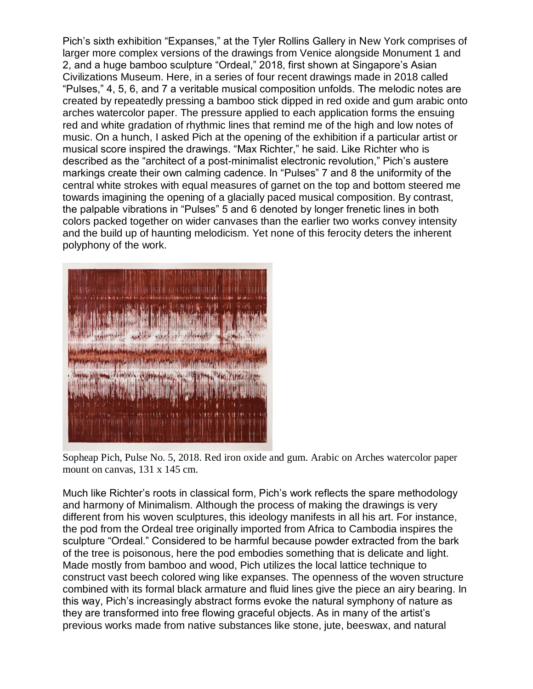Pich's sixth exhibition "Expanses," at the Tyler Rollins Gallery in New York comprises of larger more complex versions of the drawings from Venice alongside Monument 1 and 2, and a huge bamboo sculpture "Ordeal," 2018, first shown at Singapore's Asian Civilizations Museum. Here, in a series of four recent drawings made in 2018 called "Pulses," 4, 5, 6, and 7 a veritable musical composition unfolds. The melodic notes are created by repeatedly pressing a bamboo stick dipped in red oxide and gum arabic onto arches watercolor paper. The pressure applied to each application forms the ensuing red and white gradation of rhythmic lines that remind me of the high and low notes of music. On a hunch, I asked Pich at the opening of the exhibition if a particular artist or musical score inspired the drawings. "Max Richter," he said. Like Richter who is described as the "architect of a post-minimalist electronic revolution," Pich's austere markings create their own calming cadence. In "Pulses" 7 and 8 the uniformity of the central white strokes with equal measures of garnet on the top and bottom steered me towards imagining the opening of a glacially paced musical composition. By contrast, the palpable vibrations in "Pulses" 5 and 6 denoted by longer frenetic lines in both colors packed together on wider canvases than the earlier two works convey intensity and the build up of haunting melodicism. Yet none of this ferocity deters the inherent polyphony of the work.



Sopheap Pich, Pulse No. 5, 2018. Red iron oxide and gum. Arabic on Arches watercolor paper mount on canvas, 131 x 145 cm.

Much like Richter's roots in classical form, Pich's work reflects the spare methodology and harmony of Minimalism. Although the process of making the drawings is very different from his woven sculptures, this ideology manifests in all his art. For instance, the pod from the Ordeal tree originally imported from Africa to Cambodia inspires the sculpture "Ordeal." Considered to be harmful because powder extracted from the bark of the tree is poisonous, here the pod embodies something that is delicate and light. Made mostly from bamboo and wood, Pich utilizes the local lattice technique to construct vast beech colored wing like expanses. The openness of the woven structure combined with its formal black armature and fluid lines give the piece an airy bearing. In this way, Pich's increasingly abstract forms evoke the natural symphony of nature as they are transformed into free flowing graceful objects. As in many of the artist's previous works made from native substances like stone, jute, beeswax, and natural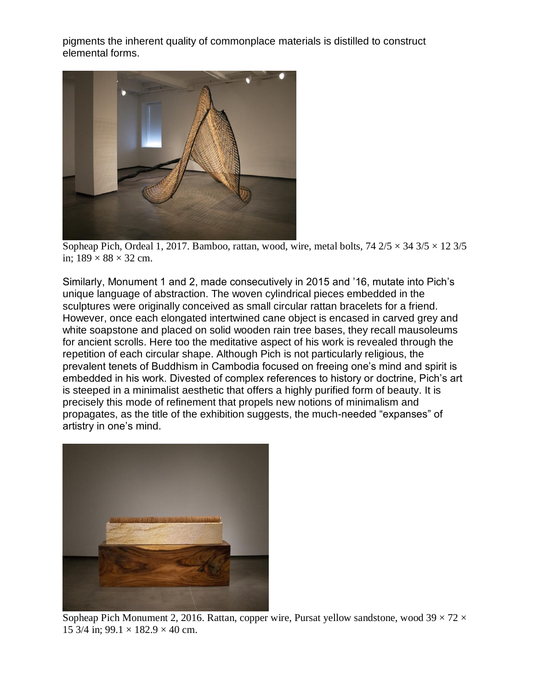pigments the inherent quality of commonplace materials is distilled to construct elemental forms.



Sopheap Pich, Ordeal 1, 2017. Bamboo, rattan, wood, wire, metal bolts,  $74\frac{2}{5} \times 34\frac{3}{5} \times 12\frac{3}{5}$ in;  $189 \times 88 \times 32$  cm.

Similarly, Monument 1 and 2, made consecutively in 2015 and '16, mutate into Pich's unique language of abstraction. The woven cylindrical pieces embedded in the sculptures were originally conceived as small circular rattan bracelets for a friend. However, once each elongated intertwined cane object is encased in carved grey and white soapstone and placed on solid wooden rain tree bases, they recall mausoleums for ancient scrolls. Here too the meditative aspect of his work is revealed through the repetition of each circular shape. Although Pich is not particularly religious, the prevalent tenets of Buddhism in Cambodia focused on freeing one's mind and spirit is embedded in his work. Divested of complex references to history or doctrine, Pich's art is steeped in a minimalist aesthetic that offers a highly purified form of beauty. It is precisely this mode of refinement that propels new notions of minimalism and propagates, as the title of the exhibition suggests, the much-needed "expanses" of artistry in one's mind.



Sopheap Pich Monument 2, 2016. Rattan, copper wire, Pursat yellow sandstone, wood  $39 \times 72 \times$ 15 3/4 in;  $99.1 \times 182.9 \times 40$  cm.